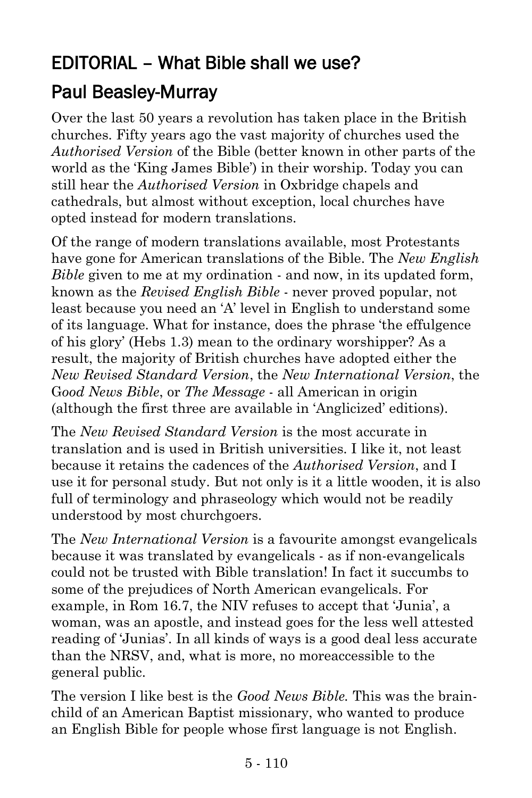## EDITORIAL – What Bible shall we use?

## [Paul Beasley-Murray](https://www.ministrytoday.org.uk/magazine/authors/423/)

Over the last 50 years a revolution has taken place in the British churches. Fifty years ago the vast majority of churches used the *Authorised Version* of the Bible (better known in other parts of the world as the 'King James Bible') in their worship. Today you can still hear the *Authorised Version* in Oxbridge chapels and cathedrals, but almost without exception, local churches have opted instead for modern translations.

Of the range of modern translations available, most Protestants have gone for American translations of the Bible. The *New English Bible* given to me at my ordination - and now, in its updated form, known as the *Revised English Bible* - never proved popular, not least because you need an 'A' level in English to understand some of its language. What for instance, does the phrase 'the effulgence of his glory' (Hebs 1.3) mean to the ordinary worshipper? As a result, the majority of British churches have adopted either the *New Revised Standard Version*, the *New International Version*, the G*ood News Bible*, or *The Message* - all American in origin (although the first three are available in 'Anglicized' editions).

The *New Revised Standard Version* is the most accurate in translation and is used in British universities. I like it, not least because it retains the cadences of the *Authorised Version*, and I use it for personal study. But not only is it a little wooden, it is also full of terminology and phraseology which would not be readily understood by most churchgoers.

The *New International Version* is a favourite amongst evangelicals because it was translated by evangelicals - as if non-evangelicals could not be trusted with Bible translation! In fact it succumbs to some of the prejudices of North American evangelicals. For example, in Rom 16.7, the NIV refuses to accept that 'Junia', a woman, was an apostle, and instead goes for the less well attested reading of 'Junias'. In all kinds of ways is a good deal less accurate than the NRSV, and, what is more, no moreaccessible to the general public.

The version I like best is the *Good News Bible.* This was the brainchild of an American Baptist missionary, who wanted to produce an English Bible for people whose first language is not English.